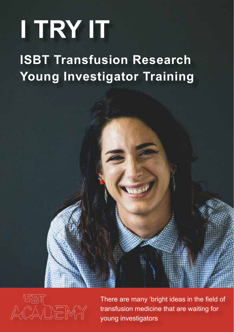## **I TRY IT**

### **ISBT Transfusion Research Young Investigator Training**



There are many 'bright ideas in the field of transfusion medicine that are waiting for young investigators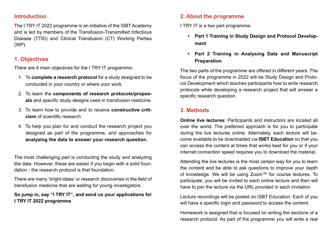#### **Introduction**

The I TRY IT 2022 programme is an initiative of the ISBT Academy and is led by members of the Transfusion-Transmitted Infectious Disease (TTID) and Clinical Transfusion (CT) Working Parties (WP).

#### **1. Objectives**

There are 4 main objectives for the I TRY IT programme:

- 1. To **complete a research protocol** for a study designed to be conducted in your country or where your work.
- 2. To learn the **components of research protocols/proposals** and specific study designs used in transfusion medicine.
- 3. To learn how to provide and to receive **constructive criticism** of scientific research
- 4. To help you plan for and conduct the research project you designed as part of the programme, and approaches for **analyzing the data to answer your research question**.

The most challenging part is conducting the study and analyzing the data. However, these are easier if you begin with a solid foundation - the research protocol is that foundation.

There are many 'bright ideas' or research discoveries in the field of transfusion medicine that are waiting for young investigators.

**So jump in, say "I TRY IT", and send us your applications for I TRY IT 2022 programme**.

#### **2. About the programme**

I TRY IT is a two part programme:

- **• Part 1 Training in Study Design and Protocol Development**
- **• Part 2 Training in Analysing Data and Manuscript Preparation**

The two parts of the programme are offered in different years. The focus of the programme in 2022 will be Study Design and Protocol Development which teaches participants how to write research protocols while developing a research project that will answer a specific research question.

#### **3. Methods**

**Online live lectures**: Participants and instructors are located all over the world. The preferred approach is for you to participate during the live lectures online. Alternately, each lecture will become available to be downloaded via **ISBT Education** so that you can access the content at times that works best for you or if your internet connection speed requires you to download the material.

Attending the live lectures is the most certain way for you to learn the content and be able to ask questions to improve your depth of knowledge. We will be using Zoom™ for course lectures. To participate, you will be invited to each online lecture and then will have to join the lecture via the URL provided in each invitation.

Lecture recordings will be posted on ISBT Education. Each of you will have a specific login and password to access the content.

Homework is assigned that is focused on writing the sections of a research protocol. As part of the programme you will write a real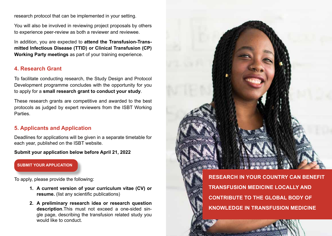research protocol that can be implemented in your setting.

You will also be involved in reviewing project proposals by others to experience peer-review as both a reviewer and reviewee.

In addition, you are expected to **attend the Transfusion-Transmitted Infectious Disease (TTID) or Clinical Transfusion (CP) Working Party meetings** as part of your training experience.

#### **4. Research Grant**

To facilitate conducting research, the Study Design and Protocol Development programme concludes with the opportunity for you to apply for a **small research grant to conduct your study**.

These research grants are competitive and awarded to the best protocols as judged by expert reviewers from the ISBT Working Parties.

#### **5. Applicants and Application**

Deadlines for applications will be given in a separate timetable for each year, published on the ISBT website.

**Submit your application below before April 21, 2022**

**[SUBMIT YOUR APPLICATION](http://www.isbtweb.org/isbt-academy/i-try-it)**

To apply, please provide the following:

- **1. A current version of your curriculum vitae (CV) or resume.** (list any scientific publications)
- **2. A preliminary research idea or research question description**.This must not exceed a one-sided single page, describing the transfusion related study you would like to conduct.

**RESEARCH IN YOUR COUNTRY CAN BENEFIT TRANSFUSION MEDICINE LOCALLY AND CONTRIBUTE TO THE GLOBAL BODY OF KNOWLEDGE IN TRANSFUSION MEDICINE**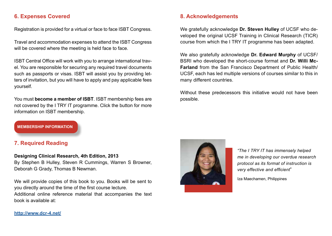#### **6. Expenses Covered**

Registration is provided for a virtual or face to face ISBT Congress.

Travel and accommodation expenses to attend the ISBT Congress will be covered where the meeting is held face to face.

ISBT Central Office will work with you to arrange international travel. You are responsible for securing any required travel documents such as passports or visas. ISBT will assist you by providing letters of invitation, but you will have to apply and pay applicable fees yourself.

You must **become a member of ISBT**. ISBT membership fees are not covered by the I TRY IT programme. Click the button for more information on ISBT membership.

#### **8. Acknowledgements**

We gratefully acknowledge **Dr. Steven Hulley** of UCSF who developed the original UCSF Training in Clinical Research (TICR) course from which the I TRY IT programme has been adapted.

We also gratefully acknowledge **Dr. Edward Murphy** of UCSF/ BSRI who developed the short-course format and **Dr. Willi Mc-Farland** from the San Francisco Department of Public Health/ UCSF, each has led multiple versions of courses similar to this in many different countries.

Without these predecessors this initiative would not have been possible.

**[MEMBERSHIP INFORMATION](http://www.isbtweb.org/isbt-academy/i-try-it)**

#### **7. Required Reading**

#### **Designing Clinical Research, 4th Edition, 2013**

By Stephen B Hulley, Steven R Cummings, Warren S Browner, Deborah G Grady, Thomas B Newman.

We will provide copies of this book to you. Books will be sent to you directly around the time of the first course lecture. Additional online reference material that accompanies the text book is available at:



*"The I TRY IT has immensely helped me in developing our overdue research protocol as its format of instruction is very effective and efficient*"

Iza Maechamen, Philippines

**[http://www.dcr-4.net/](http://www.dcr-4.net/ )**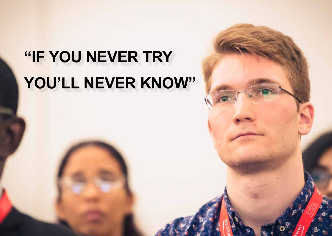# **"IF YOU NEVER TRY YOU'LL NEVER KNOW"**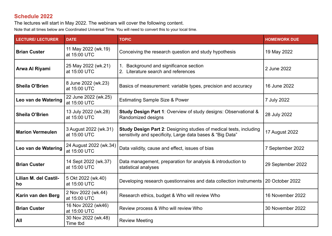#### **Schedule 2022**

The lectures will start in May 2022. The webinars will cover the following content.

Note that all times below are Coordinated Universal Time. You will need to convert this to your local time.

| <b>LECTURE/ LECTURER</b>           | <b>DATE</b>                            | <b>TOPIC</b>                                                                                                                            | <b>HOMEWORK DUE</b> |
|------------------------------------|----------------------------------------|-----------------------------------------------------------------------------------------------------------------------------------------|---------------------|
| <b>Brian Custer</b>                | 11 May 2022 (wk.19)<br>at 15:00 UTC    | Conceiving the research question and study hypothesis                                                                                   | 19 May 2022         |
| Arwa Al Riyami                     | 25 May 2022 (wk.21)<br>at 15:00 UTC    | Background and significance section<br>2. Literature search and references                                                              | 2 June 2022         |
| <b>Sheila O'Brien</b>              | 8 June 2022 (wk.23)<br>at 15:00 UTC    | Basics of measurement: variable types, precision and accuracy                                                                           | 16 June 2022        |
| Leo van de Watering                | 22 June 2022 (wk.25)<br>at 15:00 UTC   | <b>Estimating Sample Size &amp; Power</b>                                                                                               | 7 July 2022         |
| <b>Sheila O'Brien</b>              | 13 July 2022 (wk.28)<br>at 15:00 UTC   | Study Design Part 1: Overview of study designs: Observational &<br>Randomized designs                                                   | 28 July 2022        |
| <b>Marion Vermeulen</b>            | 3 August 2022 (wk.31)<br>at 15:00 UTC  | <b>Study Design Part 2: Designing studies of medical tests, including</b><br>sensitivity and specificity, Large data bases & "Big Data" | 17 August 2022      |
| Leo van de Watering                | 24 August 2022 (wk.34)<br>at 15:00 UTC | Data validity, cause and effect, issues of bias                                                                                         | 7 September 2022    |
| <b>Brian Custer</b>                | 14 Sept 2022 (wk.37)<br>at 15:00 UTC   | Data management, preparation for analysis & introduction to<br>statistical analyses                                                     | 29 September 2022   |
| <b>Lilian M. del Castil-</b><br>ho | 5 Okt 2022 (wk.40)<br>at 15:00 UTC     | Developing research questionnaires and data collection instruments                                                                      | 20 October 2022     |
| Karin van den Berg                 | 2 Nov 2022 (wk.44)<br>at 15:00 UTC     | Research ethics, budget & Who will review Who                                                                                           | 16 November 2022    |
| <b>Brian Custer</b>                | 16 Nov 2022 (wk46)<br>at 15:00 UTC     | Review process & Who will review Who                                                                                                    | 30 November 2022    |
| All                                | 30 Nov 2022 (wk.48)<br>Time tbd        | <b>Review Meeting</b>                                                                                                                   |                     |